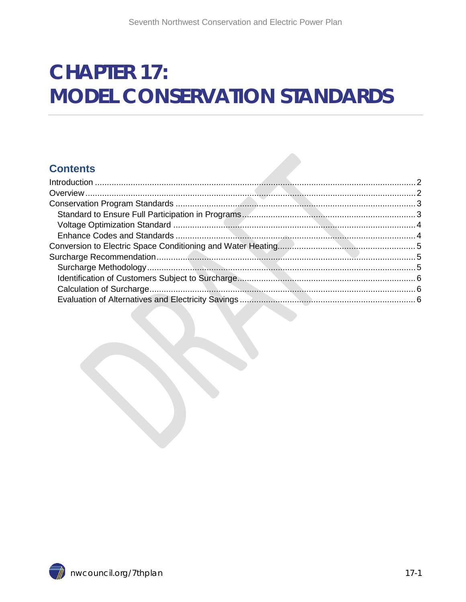# **CHAPTER 17: MODEL CONSERVATION STANDARDS**

#### **Contents**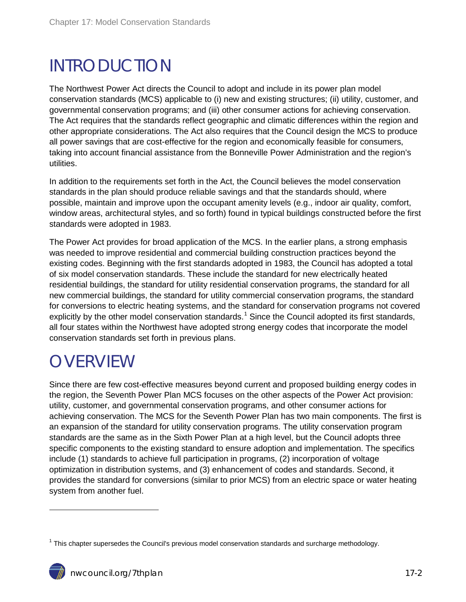### <span id="page-1-0"></span>INTRODUCTION

The Northwest Power Act directs the Council to adopt and include in its power plan model conservation standards (MCS) applicable to (i) new and existing structures; (ii) utility, customer, and governmental conservation programs; and (iii) other consumer actions for achieving conservation. The Act requires that the standards reflect geographic and climatic differences within the region and other appropriate considerations. The Act also requires that the Council design the MCS to produce all power savings that are cost-effective for the region and economically feasible for consumers, taking into account financial assistance from the Bonneville Power Administration and the region's utilities.

In addition to the requirements set forth in the Act, the Council believes the model conservation standards in the plan should produce reliable savings and that the standards should, where possible, maintain and improve upon the occupant amenity levels (e.g., indoor air quality, comfort, window areas, architectural styles, and so forth) found in typical buildings constructed before the first standards were adopted in 1983.

The Power Act provides for broad application of the MCS. In the earlier plans, a strong emphasis was needed to improve residential and commercial building construction practices beyond the existing codes. Beginning with the first standards adopted in 1983, the Council has adopted a total of six model conservation standards. These include the standard for new electrically heated residential buildings, the standard for utility residential conservation programs, the standard for all new commercial buildings, the standard for utility commercial conservation programs, the standard for conversions to electric heating systems, and the standard for conservation programs not covered explicitly by the other model conservation standards.<sup>[1](#page-1-2)</sup> Since the Council adopted its first standards, all four states within the Northwest have adopted strong energy codes that incorporate the model conservation standards set forth in previous plans.

### <span id="page-1-1"></span>**OVERVIEW**

 $\overline{a}$ 

Since there are few cost-effective measures beyond current and proposed building energy codes in the region, the Seventh Power Plan MCS focuses on the other aspects of the Power Act provision: utility, customer, and governmental conservation programs, and other consumer actions for achieving conservation. The MCS for the Seventh Power Plan has two main components. The first is an expansion of the standard for utility conservation programs. The utility conservation program standards are the same as in the Sixth Power Plan at a high level, but the Council adopts three specific components to the existing standard to ensure adoption and implementation. The specifics include (1) standards to achieve full participation in programs, (2) incorporation of voltage optimization in distribution systems, and (3) enhancement of codes and standards. Second, it provides the standard for conversions (similar to prior MCS) from an electric space or water heating system from another fuel.

<span id="page-1-2"></span> $1$  This chapter supersedes the Council's previous model conservation standards and surcharge methodology.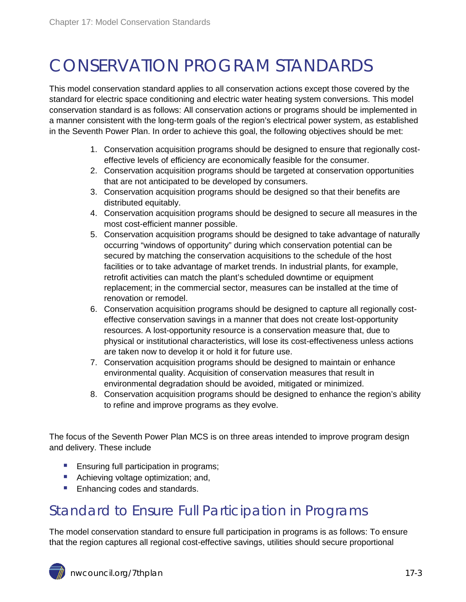## <span id="page-2-0"></span>CONSERVATION PROGRAM STANDARDS

This model conservation standard applies to all conservation actions except those covered by the standard for electric space conditioning and electric water heating system conversions. This model conservation standard is as follows: All conservation actions or programs should be implemented in a manner consistent with the long-term goals of the region's electrical power system, as established in the Seventh Power Plan. In order to achieve this goal, the following objectives should be met:

- 1. Conservation acquisition programs should be designed to ensure that regionally costeffective levels of efficiency are economically feasible for the consumer.
- 2. Conservation acquisition programs should be targeted at conservation opportunities that are not anticipated to be developed by consumers.
- 3. Conservation acquisition programs should be designed so that their benefits are distributed equitably.
- 4. Conservation acquisition programs should be designed to secure all measures in the most cost-efficient manner possible.
- 5. Conservation acquisition programs should be designed to take advantage of naturally occurring "windows of opportunity" during which conservation potential can be secured by matching the conservation acquisitions to the schedule of the host facilities or to take advantage of market trends. In industrial plants, for example, retrofit activities can match the plant's scheduled downtime or equipment replacement; in the commercial sector, measures can be installed at the time of renovation or remodel.
- 6. Conservation acquisition programs should be designed to capture all regionally costeffective conservation savings in a manner that does not create lost-opportunity resources. A lost-opportunity resource is a conservation measure that, due to physical or institutional characteristics, will lose its cost-effectiveness unless actions are taken now to develop it or hold it for future use.
- 7. Conservation acquisition programs should be designed to maintain or enhance environmental quality. Acquisition of conservation measures that result in environmental degradation should be avoided, mitigated or minimized.
- 8. Conservation acquisition programs should be designed to enhance the region's ability to refine and improve programs as they evolve.

The focus of the Seventh Power Plan MCS is on three areas intended to improve program design and delivery. These include

- **Ensuring full participation in programs;**
- Achieving voltage optimization; and,
- **Enhancing codes and standards.**

#### <span id="page-2-1"></span>Standard to Ensure Full Participation in Programs

The model conservation standard to ensure full participation in programs is as follows: To ensure that the region captures all regional cost-effective savings, utilities should secure proportional

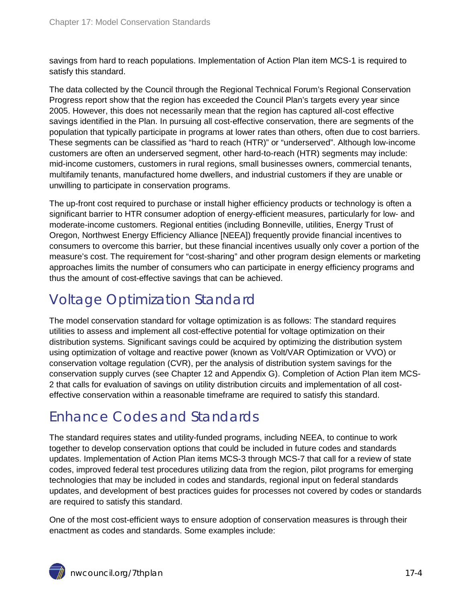savings from hard to reach populations. Implementation of Action Plan item MCS-1 is required to satisfy this standard.

The data collected by the Council through the Regional Technical Forum's Regional Conservation Progress report show that the region has exceeded the Council Plan's targets every year since 2005. However, this does not necessarily mean that the region has captured all-cost effective savings identified in the Plan. In pursuing all cost-effective conservation, there are segments of the population that typically participate in programs at lower rates than others, often due to cost barriers. These segments can be classified as "hard to reach (HTR)" or "underserved". Although low-income customers are often an underserved segment, other hard-to-reach (HTR) segments may include: mid-income customers, customers in rural regions, small businesses owners, commercial tenants, multifamily tenants, manufactured home dwellers, and industrial customers if they are unable or unwilling to participate in conservation programs.

The up-front cost required to purchase or install higher efficiency products or technology is often a significant barrier to HTR consumer adoption of energy-efficient measures, particularly for low- and moderate-income customers. Regional entities (including Bonneville, utilities, Energy Trust of Oregon, Northwest Energy Efficiency Alliance [NEEA]) frequently provide financial incentives to consumers to overcome this barrier, but these financial incentives usually only cover a portion of the measure's cost. The requirement for "cost-sharing" and other program design elements or marketing approaches limits the number of consumers who can participate in energy efficiency programs and thus the amount of cost-effective savings that can be achieved.

#### <span id="page-3-0"></span>Voltage Optimization Standard

The model conservation standard for voltage optimization is as follows: The standard requires utilities to assess and implement all cost-effective potential for voltage optimization on their distribution systems. Significant savings could be acquired by optimizing the distribution system using optimization of voltage and reactive power (known as Volt/VAR Optimization or VVO) or conservation voltage regulation (CVR), per the analysis of distribution system savings for the conservation supply curves (see Chapter 12 and Appendix G). Completion of Action Plan item MCS-2 that calls for evaluation of savings on utility distribution circuits and implementation of all costeffective conservation within a reasonable timeframe are required to satisfy this standard.

### <span id="page-3-1"></span>Enhance Codes and Standards

The standard requires states and utility-funded programs, including NEEA, to continue to work together to develop conservation options that could be included in future codes and standards updates. Implementation of Action Plan items MCS-3 through MCS-7 that call for a review of state codes, improved federal test procedures utilizing data from the region, pilot programs for emerging technologies that may be included in codes and standards, regional input on federal standards updates, and development of best practices guides for processes not covered by codes or standards are required to satisfy this standard.

One of the most cost-efficient ways to ensure adoption of conservation measures is through their enactment as codes and standards. Some examples include:

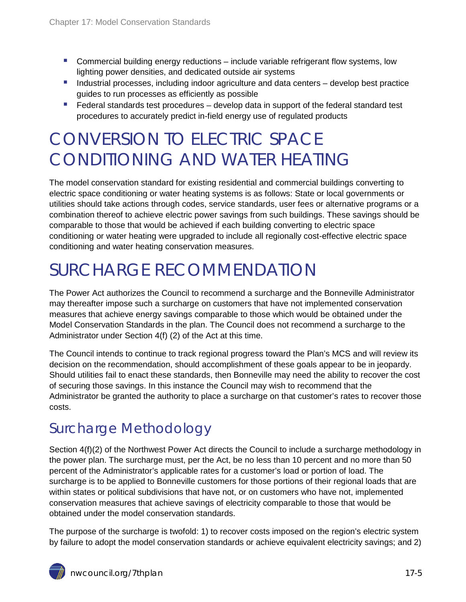- **Commercial building energy reductions include variable refrigerant flow systems, low** lighting power densities, and dedicated outside air systems
- **Industrial processes, including indoor agriculture and data centers develop best practice** guides to run processes as efficiently as possible
- $\blacksquare$  Federal standards test procedures develop data in support of the federal standard test procedures to accurately predict in-field energy use of regulated products

### <span id="page-4-0"></span>CONVERSION TO ELECTRIC SPACE CONDITIONING AND WATER HEATING

The model conservation standard for existing residential and commercial buildings converting to electric space conditioning or water heating systems is as follows: State or local governments or utilities should take actions through codes, service standards, user fees or alternative programs or a combination thereof to achieve electric power savings from such buildings. These savings should be comparable to those that would be achieved if each building converting to electric space conditioning or water heating were upgraded to include all regionally cost-effective electric space conditioning and water heating conservation measures.

### <span id="page-4-1"></span>SURCHARGE RECOMMENDATION

The Power Act authorizes the Council to recommend a surcharge and the Bonneville Administrator may thereafter impose such a surcharge on customers that have not implemented conservation measures that achieve energy savings comparable to those which would be obtained under the Model Conservation Standards in the plan. The Council does not recommend a surcharge to the Administrator under Section 4(f) (2) of the Act at this time.

The Council intends to continue to track regional progress toward the Plan's MCS and will review its decision on the recommendation, should accomplishment of these goals appear to be in jeopardy. Should utilities fail to enact these standards, then Bonneville may need the ability to recover the cost of securing those savings. In this instance the Council may wish to recommend that the Administrator be granted the authority to place a surcharge on that customer's rates to recover those costs.

#### <span id="page-4-2"></span>Surcharge Methodology

Section  $4(f)(2)$  of the Northwest Power Act directs the Council to include a surcharge methodology in the power plan. The surcharge must, per the Act, be no less than 10 percent and no more than 50 percent of the Administrator's applicable rates for a customer's load or portion of load. The surcharge is to be applied to Bonneville customers for those portions of their regional loads that are within states or political subdivisions that have not, or on customers who have not, implemented conservation measures that achieve savings of electricity comparable to those that would be obtained under the model conservation standards.

The purpose of the surcharge is twofold: 1) to recover costs imposed on the region's electric system by failure to adopt the model conservation standards or achieve equivalent electricity savings; and 2)